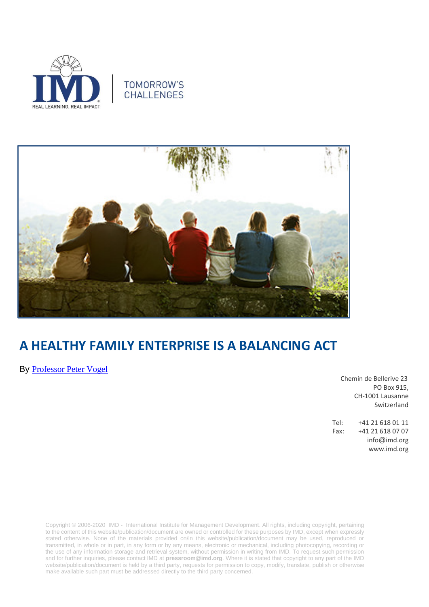





# **A HEALTHY FAMILY ENTERPRISE IS A BALANCING ACT**

By [Professor Peter Vogel](https://www.imd.org/faculty/professors/peter_vogel/)

Chemin de Bellerive 23 PO Box 915, CH-1001 Lausanne Switzerland

Tel: +41 21 618 01 11 Fax: +41 21 618 07 07 info@imd.org www.imd.org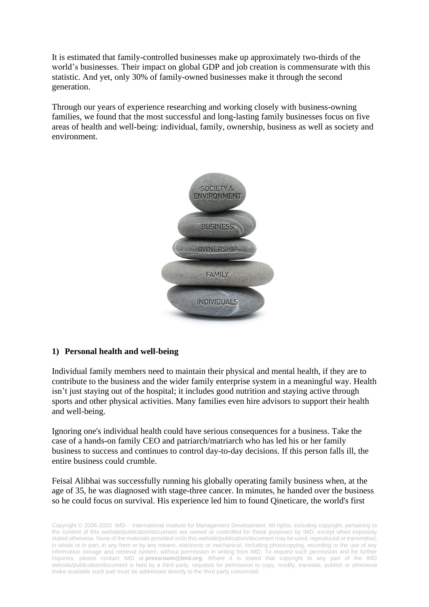It is estimated that family-controlled businesses make up approximately two-thirds of the world's businesses. Their impact on global GDP and job creation is commensurate with this statistic. And yet, only 30% of family-owned businesses make it through the second generation.

Through our years of experience researching and working closely with business-owning families, we found that the most successful and long-lasting family businesses focus on five areas of health and well-being: individual, family, ownership, business as well as society and environment.



### **1) Personal health and well-being**

Individual family members need to maintain their physical and mental health, if they are to contribute to the business and the wider family enterprise system in a meaningful way. Health isn't just staying out of the hospital; it includes good nutrition and staying active through sports and other physical activities. Many families even hire advisors to support their health and well-being.

Ignoring one's individual health could have serious consequences for a business. Take the case of a hands-on family CEO and patriarch/matriarch who has led his or her family business to success and continues to control day-to-day decisions. If this person falls ill, the entire business could crumble.

Feisal Alibhai was successfully running his globally operating family business when, at the age of 35, he was diagnosed with stage-three cancer. In minutes, he handed over the business so he could focus on survival. His experience led him to found Qineticare, the world's first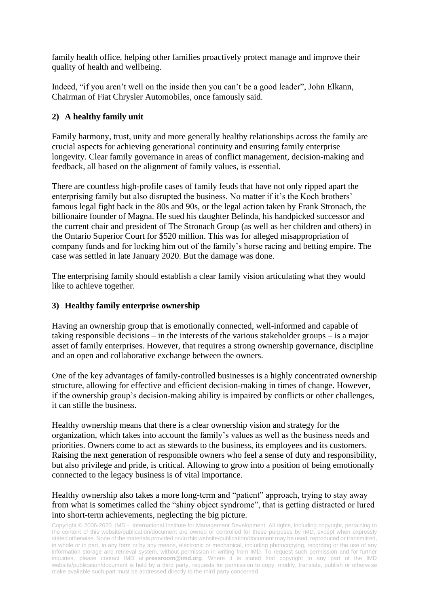family health office, helping other families proactively protect manage and improve their quality of health and wellbeing.

Indeed, "if you aren't well on the inside then you can't be a good leader", John Elkann, Chairman of Fiat Chrysler Automobiles, once famously said.

## **2) A healthy family unit**

Family harmony, trust, unity and more generally healthy relationships across the family are crucial aspects for achieving generational continuity and ensuring family enterprise longevity. Clear family governance in areas of conflict management, decision-making and feedback, all based on the alignment of family values, is essential.

There are countless high-profile cases of family feuds that have not only ripped apart the enterprising family but also disrupted the business. No matter if it's the Koch brothers' famous legal fight back in the 80s and 90s, or the legal action taken by Frank Stronach, the billionaire founder of Magna. He sued his daughter Belinda, his handpicked successor and the current chair and president of The Stronach Group (as well as her children and others) in the Ontario Superior Court for \$520 million. This was for alleged misappropriation of company funds and for locking him out of the family's horse racing and betting empire. The case was settled in late January 2020. But the damage was done.

The enterprising family should establish a clear family vision articulating what they would like to achieve together.

### **3) Healthy family enterprise ownership**

Having an ownership group that is emotionally connected, well-informed and capable of taking responsible decisions – in the interests of the various stakeholder groups – is a major asset of family enterprises. However, that requires a strong ownership governance, discipline and an open and collaborative exchange between the owners.

One of the key advantages of family-controlled businesses is a highly concentrated ownership structure, allowing for effective and efficient decision-making in times of change. However, if the ownership group's decision-making ability is impaired by conflicts or other challenges, it can stifle the business.

Healthy ownership means that there is a clear ownership vision and strategy for the organization, which takes into account the family's values as well as the business needs and priorities. Owners come to act as stewards to the business, its employees and its customers. Raising the next generation of responsible owners who feel a sense of duty and responsibility, but also privilege and pride, is critical. Allowing to grow into a position of being emotionally connected to the legacy business is of vital importance.

#### Healthy ownership also takes a more long-term and "patient" approach, trying to stay away from what is sometimes called the "shiny object syndrome", that is getting distracted or lured into short-term achievements, neglecting the big picture.